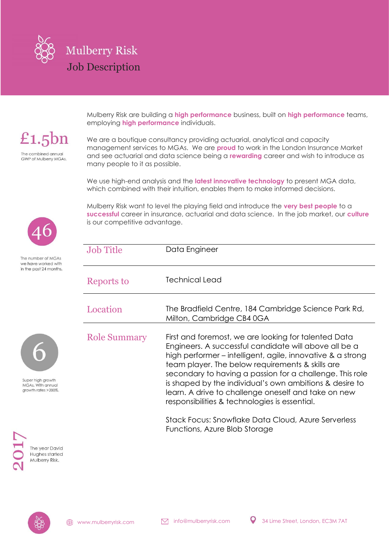

£1.5 $bn$ The combined annual

**GWP of Mulberry MGAs.** 

employing **high performance** individuals.

Mulberry Risk are building a **high performance** business, built on **high performance** teams,

We are a boutique consultancy providing actuarial, analytical and capacity management services to MGAs. We are **proud** to work in the London Insurance Market and see actuarial and data science being a **rewarding** career and wish to introduce as many people to it as possible.

We use high-end analysis and the **latest innovative technology** to present MGA data, which combined with their intuition, enables them to make informed decisions.

Mulberry Risk want to level the playing field and introduce the **very best people** to a **successful** career in insurance, actuarial and data science. In the job market, our **culture** is our competitive advantage.

| <b>Job Title</b>    | Data Engineer                                                                                                                                                                                                                                                                                                                                                                                                                                                                                                         |
|---------------------|-----------------------------------------------------------------------------------------------------------------------------------------------------------------------------------------------------------------------------------------------------------------------------------------------------------------------------------------------------------------------------------------------------------------------------------------------------------------------------------------------------------------------|
| Reports to          | <b>Technical Lead</b>                                                                                                                                                                                                                                                                                                                                                                                                                                                                                                 |
| Location            | The Bradfield Centre, 184 Cambridge Science Park Rd,<br>Milton, Cambridge CB4 0GA                                                                                                                                                                                                                                                                                                                                                                                                                                     |
| <b>Role Summary</b> | First and foremost, we are looking for talented Data<br>Engineers. A successful candidate will above all be a<br>high performer – intelligent, agile, innovative & a strong<br>team player. The below requirements & skills are<br>secondary to having a passion for a challenge. This role<br>is shaped by the individual's own ambitions & desire to<br>learn. A drive to challenge oneself and take on new<br>responsibilities & technologies is essential.<br>Stack Focus: Spoutfake Data Cloud, Azuro Soniorloss |

Stack Focus: Snowflake Data Cloud, Azure Serverless Functions, Azure Blob Storage



The number of MGAs we have worked with in the past 24 months.



Super high growth MGAs. With annual growth rates > 200%.

> The year David Hughes started Mulberry Risk.